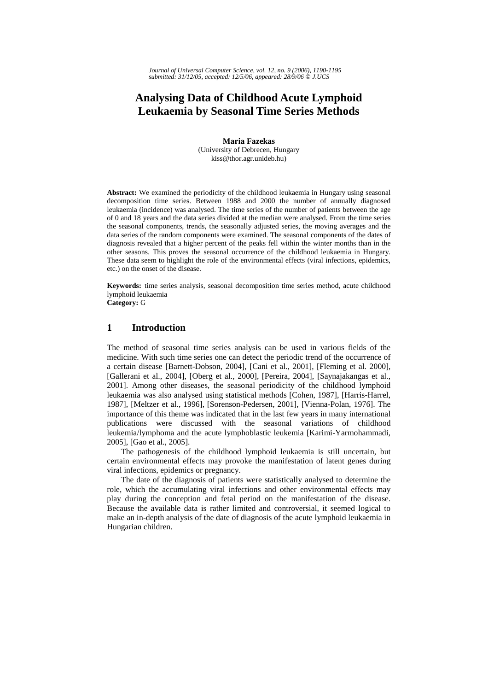*Journal of Universal Computer Science, vol. 12, no. 9 (2006), 1190-1195 submitted: 31/12/05, accepted: 12/5/06, appeared: 28/9/06* © *J.UCS*

# **Analysing Data of Childhood Acute Lymphoid Leukaemia by Seasonal Time Series Methods**

**Maria Fazekas**  (University of Debrecen, Hungary kiss@thor.agr.unideb.hu)

**Abstract:** We examined the periodicity of the childhood leukaemia in Hungary using seasonal decomposition time series. Between 1988 and 2000 the number of annually diagnosed leukaemia (incidence) was analysed. The time series of the number of patients between the age of 0 and 18 years and the data series divided at the median were analysed. From the time series the seasonal components, trends, the seasonally adjusted series, the moving averages and the data series of the random components were examined. The seasonal components of the dates of diagnosis revealed that a higher percent of the peaks fell within the winter months than in the other seasons. This proves the seasonal occurrence of the childhood leukaemia in Hungary. These data seem to highlight the role of the environmental effects (viral infections, epidemics, etc.) on the onset of the disease.

**Keywords:** time series analysis, seasonal decomposition time series method, acute childhood lymphoid leukaemia

**Category:** G

### **1 Introduction**

The method of seasonal time series analysis can be used in various fields of the medicine. With such time series one can detect the periodic trend of the occurrence of a certain disease [Barnett-Dobson, 2004], [Cani et al., 2001], [Fleming et al. 2000], [Gallerani et al., 2004], [Oberg et al., 2000], [Pereira, 2004], [Saynajakangas et al., 2001]. Among other diseases, the seasonal periodicity of the childhood lymphoid leukaemia was also analysed using statistical methods [Cohen, 1987], [Harris-Harrel, 1987], [Meltzer et al., 1996], [Sorenson-Pedersen, 2001], [Vienna-Polan, 1976]. The importance of this theme was indicated that in the last few years in many international publications were discussed with the seasonal variations of childhood leukemia/lymphoma and the acute lymphoblastic leukemia [Karimi-Yarmohammadi, 2005], [Gao et al., 2005].

The pathogenesis of the childhood lymphoid leukaemia is still uncertain, but certain environmental effects may provoke the manifestation of latent genes during viral infections, epidemics or pregnancy.

The date of the diagnosis of patients were statistically analysed to determine the role, which the accumulating viral infections and other environmental effects may play during the conception and fetal period on the manifestation of the disease. Because the available data is rather limited and controversial, it seemed logical to make an in-depth analysis of the date of diagnosis of the acute lymphoid leukaemia in Hungarian children.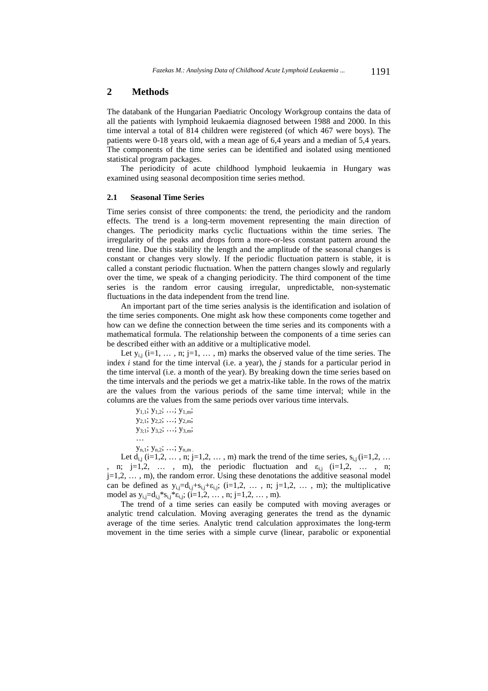### **2 Methods**

The databank of the Hungarian Paediatric Oncology Workgroup contains the data of all the patients with lymphoid leukaemia diagnosed between 1988 and 2000. In this time interval a total of 814 children were registered (of which 467 were boys). The patients were 0-18 years old, with a mean age of 6,4 years and a median of 5,4 years. The components of the time series can be identified and isolated using mentioned statistical program packages.

The periodicity of acute childhood lymphoid leukaemia in Hungary was examined using seasonal decomposition time series method.

#### **2.1 Seasonal Time Series**

Time series consist of three components: the trend, the periodicity and the random effects. The trend is a long-term movement representing the main direction of changes. The periodicity marks cyclic fluctuations within the time series. The irregularity of the peaks and drops form a more-or-less constant pattern around the trend line. Due this stability the length and the amplitude of the seasonal changes is constant or changes very slowly. If the periodic fluctuation pattern is stable, it is called a constant periodic fluctuation. When the pattern changes slowly and regularly over the time, we speak of a changing periodicity. The third component of the time series is the random error causing irregular, unpredictable, non-systematic fluctuations in the data independent from the trend line.

An important part of the time series analysis is the identification and isolation of the time series components. One might ask how these components come together and how can we define the connection between the time series and its components with a mathematical formula. The relationship between the components of a time series can be described either with an additive or a multiplicative model.

Let  $y_{i,j}$  (i=1, ..., n; j=1, ..., m) marks the observed value of the time series. The index *i* stand for the time interval (i.e. a year), the *j* stands for a particular period in the time interval (i.e. a month of the year). By breaking down the time series based on the time intervals and the periods we get a matrix-like table. In the rows of the matrix are the values from the various periods of the same time interval; while in the columns are the values from the same periods over various time intervals.

 $y_{1,1}$ ;  $y_{1,2}$ ; …;  $y_{1,m}$ ;  $y_{2,1}$ ;  $y_{2,2}$ ; …;  $y_{2,m}$ ;  $y_{3,1}$ ;  $y_{3,2}$ ; …;  $y_{3,m}$ ; …  $y_{n,1}$ ;  $y_{n,2}$ ; …;  $y_{n,m}$ .

Let  $d_{i,j}$  (i=1,2, ..., n; j=1,2, ..., m) mark the trend of the time series,  $s_{i,j}$  (i=1,2, ... n; j=1,2, … , m), the periodic fluctuation and  $\varepsilon_{i,j}$  (i=1,2, … , n;  $j=1,2,\ldots,m$ , the random error. Using these denotations the additive seasonal model can be defined as  $y_{i,j}=d_{i,j}+s_{i,j}+c_{i,j}$ ; (i=1,2, ..., n; j=1,2, ..., m); the multiplicative model as  $y_{i,j}=d_{i,j} * s_{i,j} * \varepsilon_{i,j};$  ( $i=1,2,\ldots,n; j=1,2,\ldots,m$ ).

The trend of a time series can easily be computed with moving averages or analytic trend calculation. Moving averaging generates the trend as the dynamic average of the time series. Analytic trend calculation approximates the long-term movement in the time series with a simple curve (linear, parabolic or exponential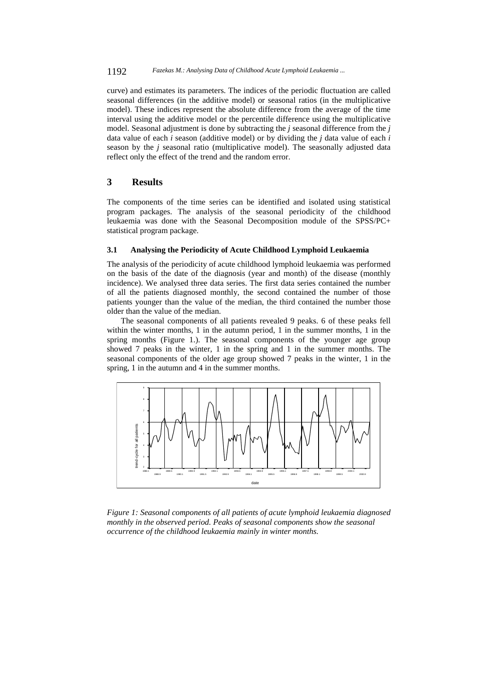curve) and estimates its parameters. The indices of the periodic fluctuation are called seasonal differences (in the additive model) or seasonal ratios (in the multiplicative model). These indices represent the absolute difference from the average of the time interval using the additive model or the percentile difference using the multiplicative model. Seasonal adjustment is done by subtracting the *j* seasonal difference from the *j* data value of each *i* season (additive model) or by dividing the *j* data value of each *i* season by the *j* seasonal ratio (multiplicative model). The seasonally adjusted data reflect only the effect of the trend and the random error.

## **3 Results**

The components of the time series can be identified and isolated using statistical program packages. The analysis of the seasonal periodicity of the childhood leukaemia was done with the Seasonal Decomposition module of the SPSS/PC+ statistical program package.

#### **3.1 Analysing the Periodicity of Acute Childhood Lymphoid Leukaemia**

The analysis of the periodicity of acute childhood lymphoid leukaemia was performed on the basis of the date of the diagnosis (year and month) of the disease (monthly incidence). We analysed three data series. The first data series contained the number of all the patients diagnosed monthly, the second contained the number of those patients younger than the value of the median, the third contained the number those older than the value of the median.

The seasonal components of all patients revealed 9 peaks. 6 of these peaks fell within the winter months, 1 in the autumn period, 1 in the summer months, 1 in the spring months (Figure 1.). The seasonal components of the younger age group showed 7 peaks in the winter, 1 in the spring and 1 in the summer months. The seasonal components of the older age group showed 7 peaks in the winter, 1 in the spring, 1 in the autumn and 4 in the summer months.



*Figure 1: Seasonal components of all patients of acute lymphoid leukaemia diagnosed monthly in the observed period. Peaks of seasonal components show the seasonal occurrence of the childhood leukaemia mainly in winter months.*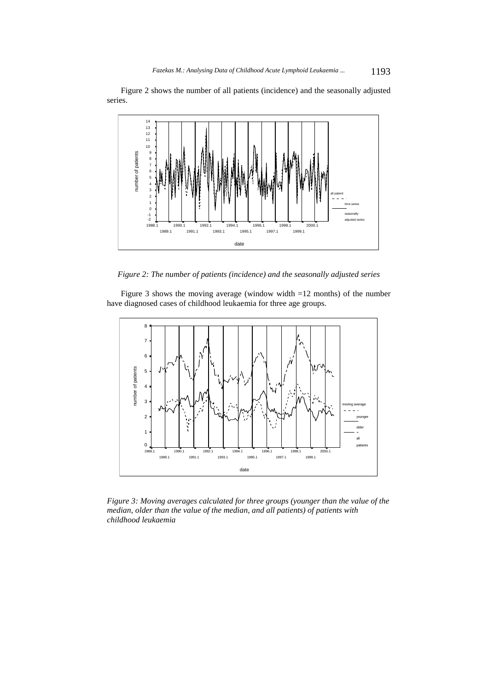Figure 2 shows the number of all patients (incidence) and the seasonally adjusted series.



*Figure 2: The number of patients (incidence) and the seasonally adjusted series* 

Figure 3 shows the moving average (window width  $=12$  months) of the number have diagnosed cases of childhood leukaemia for three age groups.



*Figure 3: Moving averages calculated for three groups (younger than the value of the median, older than the value of the median, and all patients) of patients with childhood leukaemia*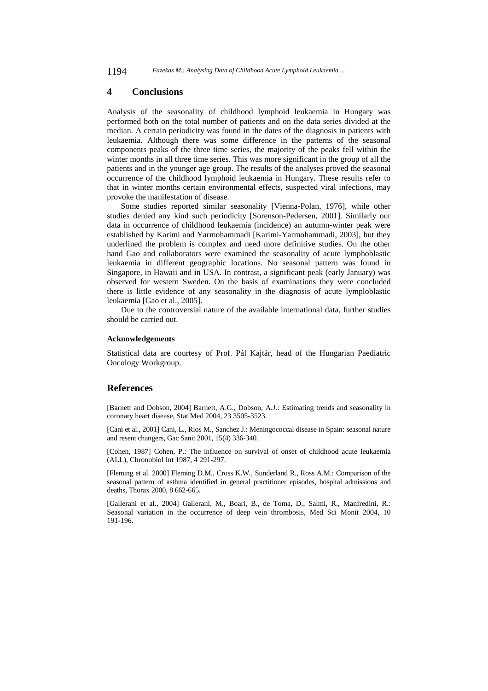1194 *Fazekas M.: Analysing Data of Childhood Acute Lymphoid Leukaemia ...*

### **4 Conclusions**

Analysis of the seasonality of childhood lymphoid leukaemia in Hungary was performed both on the total number of patients and on the data series divided at the median. A certain periodicity was found in the dates of the diagnosis in patients with leukaemia. Although there was some difference in the patterns of the seasonal components peaks of the three time series, the majority of the peaks fell within the winter months in all three time series. This was more significant in the group of all the patients and in the younger age group. The results of the analyses proved the seasonal occurrence of the childhood lymphoid leukaemia in Hungary. These results refer to that in winter months certain environmental effects, suspected viral infections, may provoke the manifestation of disease.

Some studies reported similar seasonality [Vienna-Polan, 1976], while other studies denied any kind such periodicity [Sorenson-Pedersen, 2001]. Similarly our data in occurrence of childhood leukaemia (incidence) an autumn-winter peak were established by Karimi and Yarmohammadi [Karimi-Yarmohammadi, 2003], but they underlined the problem is complex and need more definitive studies. On the other hand Gao and collaborators were examined the seasonality of acute lymphoblastic leukaemia in different geographic locations. No seasonal pattern was found in Singapore, in Hawaii and in USA. In contrast, a significant peak (early January) was observed for western Sweden. On the basis of examinations they were concluded there is little evidence of any seasonality in the diagnosis of acute lymploblastic leukaemia [Gao et al., 2005].

Due to the controversial nature of the available international data, further studies should be carried out.

### **Acknowledgements**

Statistical data are courtesy of Prof. Pál Kajtár, head of the Hungarian Paediatric Oncology Workgroup.

### **References**

[Barnett and Dobson, 2004] Barnett, A.G., Dobson, A.J.: Estimating trends and seasonality in coronary heart disease, Stat Med 2004, 23 3505-3523.

[Cani et al., 2001] Cani, L., Rios M., Sanchez J.: Meningococcal disease in Spain: seasonal nature and resent changers, Gac Sanit 2001, 15(4) 336-340.

[Cohen, 1987] Cohen, P.: The influence on survival of onset of childhood acute leukaemia (ALL), Chronobiol Int 1987, 4 291-297.

[Fleming et al. 2000] Fleming D.M., Cross K.W., Sunderland R., Ross A.M.: Comparison of the seasonal pattern of asthma identified in general practitioner episodes, hospital admissions and deaths, Thorax 2000, 8 662-665.

[Gallerani et al., 2004] Gallerani, M., Boari, B., de Toma, D., Salmi, R., Manfredini, R.: Seasonal variation in the occurrence of deep vein thrombosis, Med Sci Monit 2004, 10 191-196.